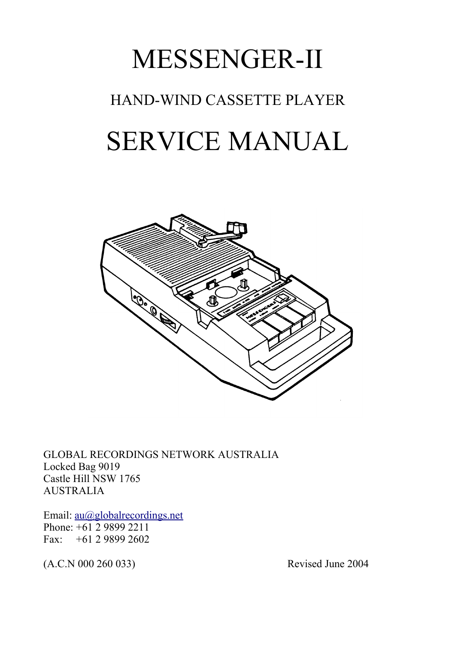# MESSENGER-II HAND-WIND CASSETTE PLAYER SERVICE MANUAL



GLOBAL RECORDINGS NETWORK AUSTRALIA Locked Bag 9019 Castle Hill NSW 1765 AUSTRALIA

Email: <u>au@globalrecordings.net</u> Phone: +61 2 9899 2211 Fax: +61 2 9899 2602

(A.C.N 000 260 033) Revised June 2004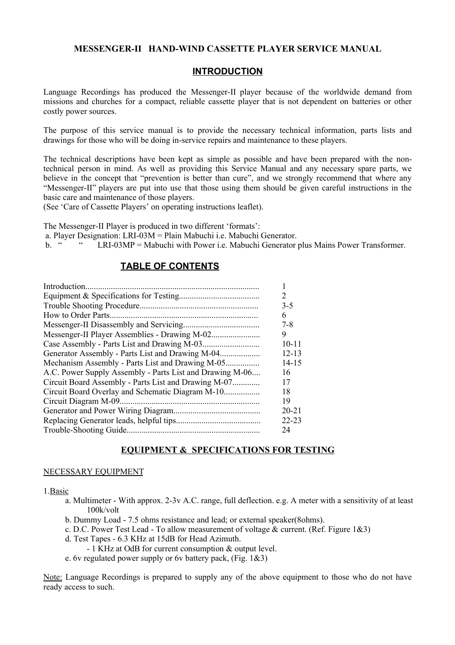#### **MESSENGER-II HAND-WIND CASSETTE PLAYER SERVICE MANUAL**

# **INTRODUCTION**

Language Recordings has produced the Messenger-II player because of the worldwide demand from missions and churches for a compact, reliable cassette player that is not dependent on batteries or other costly power sources.

The purpose of this service manual is to provide the necessary technical information, parts lists and drawings for those who will be doing in-service repairs and maintenance to these players.

The technical descriptions have been kept as simple as possible and have been prepared with the nontechnical person in mind. As well as providing this Service Manual and any necessary spare parts, we believe in the concept that "prevention is better than cure", and we strongly recommend that where any "Messenger-II" players are put into use that those using them should be given careful instructions in the basic care and maintenance of those players.

(See 'Care of Cassette Players' on operating instructions leaflet).

The Messenger-II Player is produced in two different 'formats':

a. Player Designation: LRI-03M = Plain Mabuchi i.e. Mabuchi Generator.

b. " " LRI-03MP = Mabuchi with Power i.e. Mabuchi Generator plus Mains Power Transformer.

# **TABLE OF CONTENTS**

| Introduction.                                            |           |
|----------------------------------------------------------|-----------|
|                                                          | 2         |
|                                                          | $3 - 5$   |
| How to Order Parts.                                      | 6         |
|                                                          | 7-8       |
|                                                          | 9         |
|                                                          | $10 - 11$ |
|                                                          | $12 - 13$ |
| Mechanism Assembly - Parts List and Drawing M-05         | $14 - 15$ |
| A.C. Power Supply Assembly - Parts List and Drawing M-06 | 16        |
| Circuit Board Assembly - Parts List and Drawing M-07     | 17        |
|                                                          | 18        |
| Circuit Diagram M-09.                                    | 19        |
|                                                          | $20 - 21$ |
|                                                          | $22 - 23$ |
|                                                          | 24        |

# **EQUIPMENT & SPECIFICATIONS FOR TESTING**

#### NECESSARY EQUIPMENT

#### 1.Basic

- a. Multimeter With approx. 2-3v A.C. range, full deflection. e.g. A meter with a sensitivity of at least  $100k/volt$
- b. Dummy Load 7.5 ohms resistance and lead; or external speaker(8ohms).
- c. D.C. Power Test Lead To allow measurement of voltage  $&$  current. (Ref. Figure 1 $&3$ )
- d. Test Tapes 6.3 KHz at 15dB for Head Azimuth.
	- 1 KHz at OdB for current consumption & output level.
- e. 6y regulated power supply or 6y battery pack,  $(Fig. 1&3)$

Note: Language Recordings is prepared to supply any of the above equipment to those who do not have ready access to such.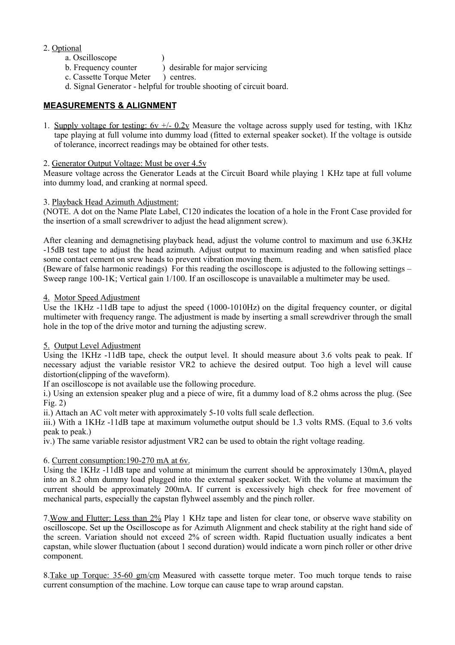#### 2. Optional

- a. Oscilloscope (a)
- b. Frequency counter ) desirable for major servicing
- c. Cassette Torque Meter ) centres.
- d. Signal Generator helpful for trouble shooting of circuit board.

#### **MEASUREMENTS & ALIGNMENT**

1. Supply voltage for testing:  $6v +1$ -  $0.2v$  Measure the voltage across supply used for testing, with 1Khz tape playing at full volume into dummy load (fitted to external speaker socket). If the voltage is outside of tolerance, incorrect readings may be obtained for other tests.

#### 2. Generator Output Voltage: Must be over 4.5v

Measure voltage across the Generator Leads at the Circuit Board while playing 1 KHz tape at full volume into dummy load, and cranking at normal speed.

#### 3. Playback Head Azimuth Adjustment:

(NOTE. A dot on the Name Plate Label, C120 indicates the location of a hole in the Front Case provided for the insertion of a small screwdriver to adjust the head alignment screw).

After cleaning and demagnetising playback head, adjust the volume control to maximum and use 6.3KHz -15dB test tape to adjust the head azimuth. Adjust output to maximum reading and when satisfied place some contact cement on srew heads to prevent vibration moving them.

(Beware of false harmonic readings) For this reading the oscilloscope is adjusted to the following settings – Sweep range 100-1K; Vertical gain 1/100. If an oscilloscope is unavailable a multimeter may be used.

#### 4. Motor Speed Adjustment

Use the 1KHz -11dB tape to adjust the speed (1000-1010Hz) on the digital frequency counter, or digital multimeter with frequency range. The adjustment is made by inserting a small screwdriver through the small hole in the top of the drive motor and turning the adjusting screw.

#### 5. Output Level Adjustment

Using the 1KHz -11dB tape, check the output level. It should measure about 3.6 volts peak to peak. If necessary adjust the variable resistor VR2 to achieve the desired output. Too high a level will cause distortion(clipping of the waveform).

If an oscilloscope is not available use the following procedure.

i.) Using an extension speaker plug and a piece of wire, fit a dummy load of 8.2 ohms across the plug. (See Fig. 2)

ii.) Attach an AC volt meter with approximately 5-10 volts full scale deflection.

iii.) With a 1KHz -11dB tape at maximum volumethe output should be 1.3 volts RMS. (Equal to 3.6 volts peak to peak.)

iv.) The same variable resistor adjustment VR2 can be used to obtain the right voltage reading.

### 6. Current consumption:190-270 mA at 6v.

Using the 1KHz -11dB tape and volume at minimum the current should be approximately 130mA, played into an 8.2 ohm dummy load plugged into the external speaker socket. With the volume at maximum the current should be approximately 200mA. If current is excessively high check for free movement of mechanical parts, especially the capstan flyhweel assembly and the pinch roller.

7.Wow and Flutter: Less than 2% Play 1 KHz tape and listen for clear tone, or observe wave stability on oscilloscope. Set up the Oscilloscope as for Azimuth Alignment and check stability at the right hand side of the screen. Variation should not exceed 2% of screen width. Rapid fluctuation usually indicates a bent capstan, while slower fluctuation (about 1 second duration) would indicate a worn pinch roller or other drive component.

8.Take up Torque: 35-60 gm/cm Measured with cassette torque meter. Too much torque tends to raise current consumption of the machine. Low torque can cause tape to wrap around capstan.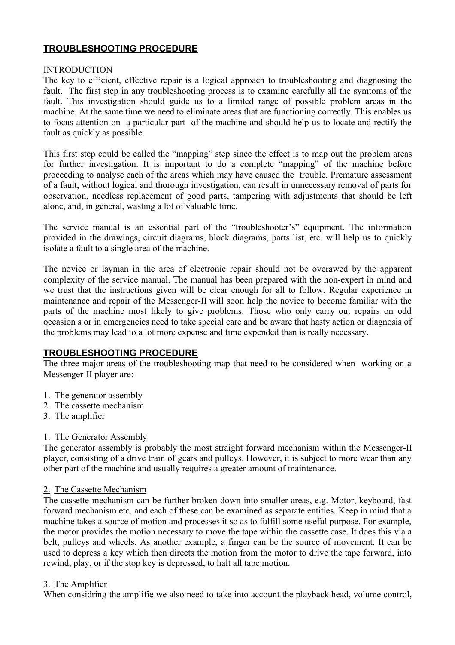# **TROUBLESHOOTING PROCEDURE**

#### INTRODUCTION

The key to efficient, effective repair is a logical approach to troubleshooting and diagnosing the fault. The first step in any troubleshooting process is to examine carefully all the symtoms of the fault. This investigation should guide us to a limited range of possible problem areas in the machine. At the same time we need to eliminate areas that are functioning correctly. This enables us to focus attention on a particular part of the machine and should help us to locate and rectify the fault as quickly as possible.

This first step could be called the "mapping" step since the effect is to map out the problem areas for further investigation. It is important to do a complete "mapping" of the machine before proceeding to analyse each of the areas which may have caused the trouble. Premature assessment of a fault, without logical and thorough investigation, can result in unnecessary removal of parts for observation, needless replacement of good parts, tampering with adjustments that should be left alone, and, in general, wasting a lot of valuable time.

The service manual is an essential part of the "troubleshooter's" equipment. The information provided in the drawings, circuit diagrams, block diagrams, parts list, etc. will help us to quickly isolate a fault to a single area of the machine.

The novice or layman in the area of electronic repair should not be overawed by the apparent complexity of the service manual. The manual has been prepared with the non-expert in mind and we trust that the instructions given will be clear enough for all to follow. Regular experience in maintenance and repair of the Messenger-II will soon help the novice to become familiar with the parts of the machine most likely to give problems. Those who only carry out repairs on odd occasion s or in emergencies need to take special care and be aware that hasty action or diagnosis of the problems may lead to a lot more expense and time expended than is really necessary.

# **TROUBLESHOOTING PROCEDURE**

The three major areas of the troubleshooting map that need to be considered when working on a Messenger-II player are:-

- 1. The generator assembly
- 2. The cassette mechanism
- 3. The amplifier

# 1. The Generator Assembly

The generator assembly is probably the most straight forward mechanism within the Messenger-II player, consisting of a drive train of gears and pulleys. However, it is subject to more wear than any other part of the machine and usually requires a greater amount of maintenance.

# 2. The Cassette Mechanism

The cassette mechanism can be further broken down into smaller areas, e.g. Motor, keyboard, fast forward mechanism etc. and each of these can be examined as separate entities. Keep in mind that a machine takes a source of motion and processes it so as to fulfill some useful purpose. For example, the motor provides the motion necessary to move the tape within the cassette case. It does this via a belt, pulleys and wheels. As another example, a finger can be the source of movement. It can be used to depress a key which then directs the motion from the motor to drive the tape forward, into rewind, play, or if the stop key is depressed, to halt all tape motion.

#### 3. The Amplifier

When considring the amplifie we also need to take into account the playback head, volume control,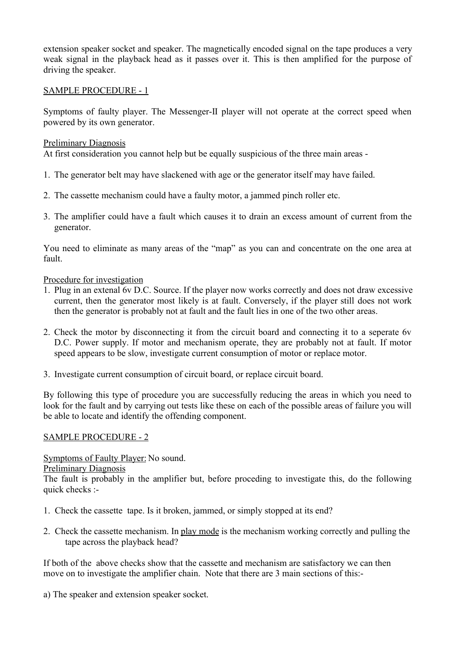extension speaker socket and speaker. The magnetically encoded signal on the tape produces a very weak signal in the playback head as it passes over it. This is then amplified for the purpose of driving the speaker.

# SAMPLE PROCEDURE - 1

Symptoms of faulty player. The Messenger-II player will not operate at the correct speed when powered by its own generator.

# Preliminary Diagnosis

At first consideration you cannot help but be equally suspicious of the three main areas -

- 1. The generator belt may have slackened with age or the generator itself may have failed.
- 2. The cassette mechanism could have a faulty motor, a jammed pinch roller etc.
- 3. The amplifier could have a fault which causes it to drain an excess amount of current from the generator.

You need to eliminate as many areas of the "map" as you can and concentrate on the one area at fault.

#### Procedure for investigation

- 1. Plug in an extenal 6v D.C. Source. If the player now works correctly and does not draw excessive current, then the generator most likely is at fault. Conversely, if the player still does not work then the generator is probably not at fault and the fault lies in one of the two other areas.
- 2. Check the motor by disconnecting it from the circuit board and connecting it to a seperate 6v D.C. Power supply. If motor and mechanism operate, they are probably not at fault. If motor speed appears to be slow, investigate current consumption of motor or replace motor.
- 3. Investigate current consumption of circuit board, or replace circuit board.

By following this type of procedure you are successfully reducing the areas in which you need to look for the fault and by carrying out tests like these on each of the possible areas of failure you will be able to locate and identify the offending component.

# SAMPLE PROCEDURE - 2

Symptoms of Faulty Player: No sound.

### Preliminary Diagnosis

The fault is probably in the amplifier but, before proceding to investigate this, do the following quick checks :-

- 1. Check the cassette tape. Is it broken, jammed, or simply stopped at its end?
- 2. Check the cassette mechanism. In play mode is the mechanism working correctly and pulling the tape across the playback head?

If both of the above checks show that the cassette and mechanism are satisfactory we can then move on to investigate the amplifier chain. Note that there are 3 main sections of this:-

a) The speaker and extension speaker socket.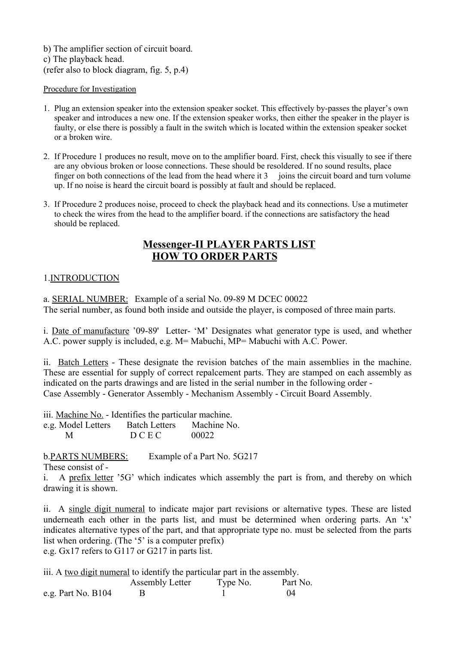b) The amplifier section of circuit board. c) The playback head. (refer also to block diagram, fig. 5, p.4)

#### Procedure for Investigation

- 1. Plug an extension speaker into the extension speaker socket. This effectively by-passes the player's own speaker and introduces a new one. If the extension speaker works, then either the speaker in the player is faulty, or else there is possibly a fault in the switch which is located within the extension speaker socket or a broken wire.
- 2. If Procedure 1 produces no result, move on to the amplifier board. First, check this visually to see if there are any obvious broken or loose connections. These should be resoldered. If no sound results, place finger on both connections of the lead from the head where it  $3$  joins the circuit board and turn volume up. If no noise is heard the circuit board is possibly at fault and should be replaced.
- 3. If Procedure 2 produces noise, proceed to check the playback head and its connections. Use a mutimeter to check the wires from the head to the amplifier board. if the connections are satisfactory the head should be replaced.

# **Messenger-II PLAYER PARTS LIST HOW TO ORDER PARTS**

# 1.INTRODUCTION

a. SERIAL NUMBER: Example of a serial No. 09-89 M DCEC 00022 The serial number, as found both inside and outside the player, is composed of three main parts.

i. Date of manufacture '09-89' Letter- 'M' Designates what generator type is used, and whether A.C. power supply is included, e.g. M= Mabuchi, MP= Mabuchi with A.C. Power.

ii. Batch Letters - These designate the revision batches of the main assemblies in the machine. These are essential for supply of correct repalcement parts. They are stamped on each assembly as indicated on the parts drawings and are listed in the serial number in the following order - Case Assembly - Generator Assembly - Mechanism Assembly - Circuit Board Assembly.

iii. Machine No. - Identifies the particular machine.

e.g. Model Letters Batch Letters Machine No. M D C E C 00022

b.PARTS NUMBERS: Example of a Part No. 5G217

These consist of -

i. A prefix letter '5G' which indicates which assembly the part is from, and thereby on which drawing it is shown.

ii. A single digit numeral to indicate major part revisions or alternative types. These are listed underneath each other in the parts list, and must be determined when ordering parts. An 'x' indicates alternative types of the part, and that appropriate type no. must be selected from the parts list when ordering. (The '5' is a computer prefix) e.g. Gx17 refers to G117 or G217 in parts list.

iii. A two digit numeral to identify the particular part in the assembly. Assembly Letter Type No. Part No. e.g. Part No. B104 B 1 04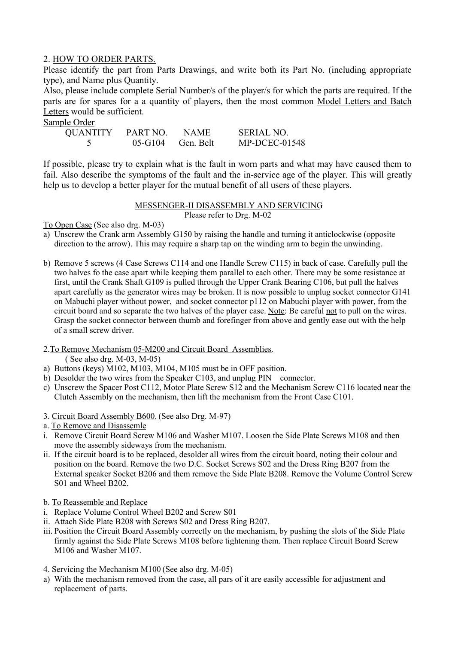# 2. HOW TO ORDER PARTS.

Please identify the part from Parts Drawings, and write both its Part No. (including appropriate type), and Name plus Quantity.

Also, please include complete Serial Number/s of the player/s for which the parts are required. If the parts are for spares for a a quantity of players, then the most common Model Letters and Batch Letters would be sufficient.

Sample Order

| <b>QUANTITY</b> | PART NO.    | <b>NAME</b> | <b>SERIAL NO.</b> |
|-----------------|-------------|-------------|-------------------|
|                 | $05 - G104$ | Gen. Belt   | $MP-DCEC-01548$   |

If possible, please try to explain what is the fault in worn parts and what may have caused them to fail. Also describe the symptoms of the fault and the in-service age of the player. This will greatly help us to develop a better player for the mutual benefit of all users of these players.

# MESSENGER-II DISASSEMBLY AND SERVICING

Please refer to Drg. M-02

To Open Case (See also drg. M-03)

- a) Unscrew the Crank arm Assembly G150 by raising the handle and turning it anticlockwise (opposite direction to the arrow). This may require a sharp tap on the winding arm to begin the unwinding.
- b) Remove 5 screws (4 Case Screws C114 and one Handle Screw C115) in back of case. Carefully pull the two halves fo the case apart while keeping them parallel to each other. There may be some resistance at first, until the Crank Shaft G109 is pulled through the Upper Crank Bearing C106, but pull the halves apart carefully as the generator wires may be broken. It is now possible to unplug socket connector G141 on Mabuchi player without power, and socket connector p112 on Mabuchi player with power, from the circuit board and so separate the two halves of the player case. Note: Be careful not to pull on the wires. Grasp the socket connector between thumb and forefinger from above and gently ease out with the help of a small screw driver.

#### 2.To Remove Mechanism 05-M200 and Circuit Board Assemblies.

( See also drg. M-03, M-05)

- a) Buttons (keys) M102, M103, M104, M105 must be in OFF position.
- b) Desolder the two wires from the Speaker C103, and unplug PIN connector.
- c) Unscrew the Spacer Post C112, Motor Plate Screw S12 and the Mechanism Screw C116 located near the Clutch Assembly on the mechanism, then lift the mechanism from the Front Case C101.
- 3. Circuit Board Assembly B600. (See also Drg. M-97)
- a. To Remove and Disassemle
- i. Remove Circuit Board Screw M106 and Washer M107. Loosen the Side Plate Screws M108 and then move the assembly sideways from the mechanism.
- ii. If the circuit board is to be replaced, desolder all wires from the circuit board, noting their colour and position on the board. Remove the two D.C. Socket Screws S02 and the Dress Ring B207 from the External speaker Socket B206 and them remove the Side Plate B208. Remove the Volume Control Screw S01 and Wheel B202.
- b. To Reassemble and Replace
- i. Replace Volume Control Wheel B202 and Screw S01
- ii. Attach Side Plate B208 with Screws S02 and Dress Ring B207.
- iii. Position the Circuit Board Assembly correctly on the mechanism, by pushing the slots of the Side Plate firmly against the Side Plate Screws M108 before tightening them. Then replace Circuit Board Screw M106 and Washer M107.
- 4. Servicing the Mechanism M100 (See also drg. M-05)
- a) With the mechanism removed from the case, all pars of it are easily accessible for adjustment and replacement of parts.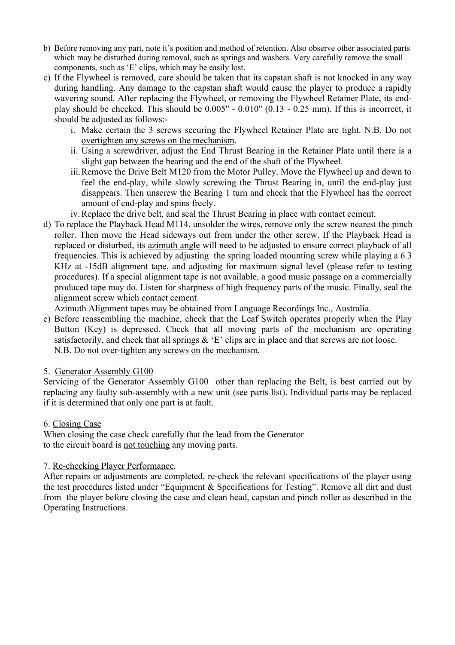- b) Before removing any part, note it's position and method of retention. Also observe other associated parts which may be disturbed during removal, such as springs and washers. Very carefully remove the small components, such as 'E' clips, which may be easily lost.
- c) If the Flywheel is removed, care should be taken that its capstan shaft is not knocked in any way during handling. Any damage to the capstan shaft would cause the player to produce a rapidly wavering sound. After replacing the Flywheel, or removing the Flywheel Retainer Plate, its endplay should be checked. This should be 0.005" - 0.010" (0.13 - 0.25 mm). If this is incorrect, it should be adjusted as follows:
	- i. Make certain the 3 screws securing the Flywheel Retainer Plate are tight. N.B. Do not overtighten any screws on the mechanism.
	- ii. Using a screwdriver, adjust the End Thrust Bearing in the Retainer Plate until there is a slight gap between the bearing and the end of the shaft of the Flywheel.
	- iii.Remove the Drive Belt M120 from the Motor Pulley. Move the Flywheel up and down to feel the end-play, while slowly screwing the Thrust Bearing in, until the end-play just disappears. Then unscrew the Bearing 1 turn and check that the Flywheel has the correct amount of end-play and spins freely.
	- iv.Replace the drive belt, and seal the Thrust Bearing in place with contact cement.
- d) To replace the Playback Head M114, unsolder the wires, remove only the screw nearest the pinch roller. Then move the Head sideways out from under the other screw. If the Playback Head is replaced or disturbed, its azimuth angle will need to be adjusted to ensure correct playback of all frequencies. This is achieved by adjusting the spring loaded mounting screw while playing a 6.3 KHz at -15dB alignment tape, and adjusting for maximum signal level (please refer to testing procedures). If a special alignment tape is not available, a good music passage on a commercially produced tape may do. Listen for sharpness of high frequency parts of the music. Finally, seal the alignment screw which contact cement.

Azimuth Alignment tapes may be obtained from Language Recordings Inc., Australia.

e) Before reassembling the machine, check that the Leaf Switch operates properly when the Play Button (Key) is depressed. Check that all moving parts of the mechanism are operating satisfactorily, and check that all springs & 'E' clips are in place and that screws are not loose. N.B. Do not over-tighten any screws on the mechanism.

#### 5. Generator Assembly G100

Servicing of the Generator Assembly G100 other than replacing the Belt, is best carried out by replacing any faulty sub-assembly with a new unit (see parts list). Individual parts may be replaced if it is determined that only one part is at fault.

#### 6. Closing Case

When closing the case check carefully that the lead from the Generator to the circuit board is not touching any moving parts.

#### 7. Re-checking Player Performance.

After repairs or adjustments are completed, re-check the relevant specifications of the player using the test procedures listed under "Equipment & Specifications for Testing". Remove all dirt and dust from the player before closing the case and clean head, capstan and pinch roller as described in the Operating Instructions.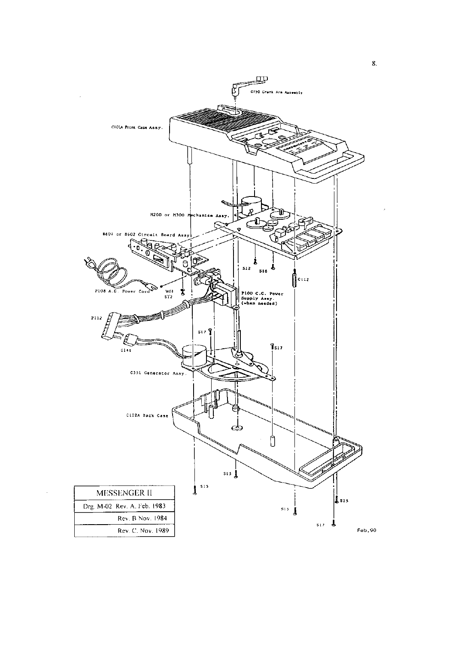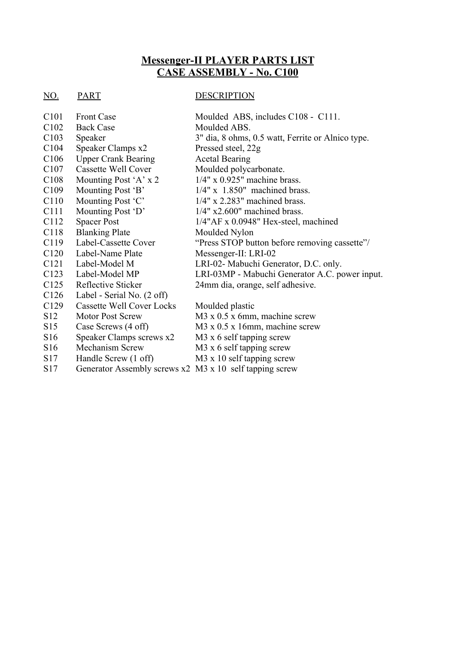# **Messenger-II PLAYER PARTS LIST CASE ASSEMBLY - No. C100**

#### NO. PART DESCRIPTION

| C <sub>101</sub> | <b>Front Case</b>                                       | Moulded ABS, includes C108 - C111.                |
|------------------|---------------------------------------------------------|---------------------------------------------------|
| C <sub>102</sub> | <b>Back Case</b>                                        | Moulded ABS.                                      |
| C <sub>103</sub> | Speaker                                                 | 3" dia, 8 ohms, 0.5 watt, Ferrite or Alnico type. |
| C <sub>104</sub> | Speaker Clamps x2                                       | Pressed steel, 22g                                |
| C <sub>106</sub> | <b>Upper Crank Bearing</b>                              | <b>Acetal Bearing</b>                             |
| C <sub>107</sub> | Cassette Well Cover                                     | Moulded polycarbonate.                            |
| C <sub>108</sub> | Mounting Post 'A' x 2                                   | $1/4$ " x 0.925" machine brass.                   |
| C <sub>109</sub> | Mounting Post 'B'                                       | $1/4$ " x 1.850" machined brass.                  |
| C <sub>110</sub> | Mounting Post 'C'                                       | $1/4$ " x 2.283" machined brass.                  |
| C <sub>111</sub> | Mounting Post 'D'                                       | $1/4$ " x2.600" machined brass.                   |
| C <sub>112</sub> | <b>Spacer Post</b>                                      | $1/4$ "AF x 0.0948" Hex-steel, machined           |
| C <sub>118</sub> | <b>Blanking Plate</b>                                   | Moulded Nylon                                     |
| C <sub>119</sub> | Label-Cassette Cover                                    | "Press STOP button before removing cassette"/     |
| C <sub>120</sub> | Label-Name Plate                                        | Messenger-II: LRI-02                              |
| C <sub>121</sub> | Label-Model M                                           | LRI-02- Mabuchi Generator, D.C. only.             |
| C123             | Label-Model MP                                          | LRI-03MP - Mabuchi Generator A.C. power input.    |
| C <sub>125</sub> | Reflective Sticker                                      | 24mm dia, orange, self adhesive.                  |
| C <sub>126</sub> | Label - Serial No. (2 off)                              |                                                   |
| C <sub>129</sub> | <b>Cassette Well Cover Locks</b>                        | Moulded plastic                                   |
| S <sub>12</sub>  | <b>Motor Post Screw</b>                                 | $M3 \times 0.5 \times 6$ mm, machine screw        |
| S15              | Case Screws (4 off)                                     | $M3 \times 0.5 \times 16$ mm, machine screw       |
| S <sub>16</sub>  | Speaker Clamps screws x2                                | M <sub>3</sub> x 6 self tapping screw             |
| S <sub>16</sub>  | <b>Mechanism Screw</b>                                  | M3 x 6 self tapping screw                         |
| S <sub>17</sub>  | Handle Screw (1 off)                                    | M3 x 10 self tapping screw                        |
| S <sub>17</sub>  | Generator Assembly screws x2 M3 x 10 self tapping screw |                                                   |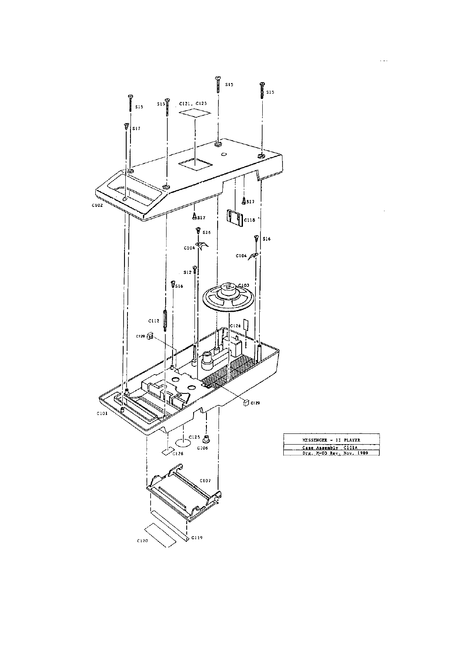

 $\tau$  is  $\tau$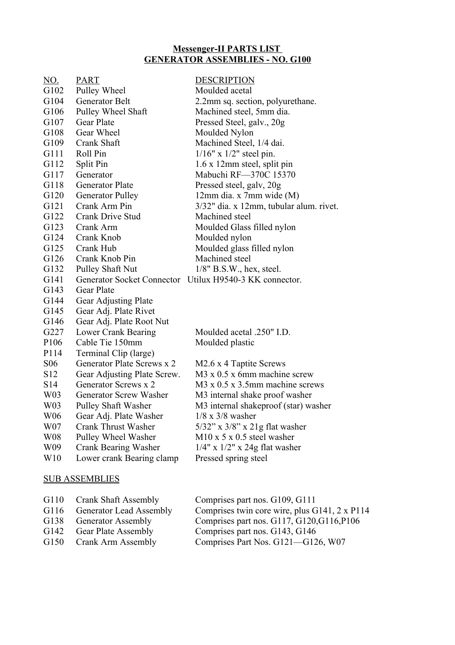# **Messenger-II PARTS LIST GENERATOR ASSEMBLIES - NO. G100**

| NO.              | <b>PART</b>                   | <b>DESCRIPTION</b>                                      |
|------------------|-------------------------------|---------------------------------------------------------|
| G <sub>102</sub> | Pulley Wheel                  | Moulded acetal                                          |
| G104             | Generator Belt                | 2.2mm sq. section, polyurethane.                        |
| G106             | Pulley Wheel Shaft            | Machined steel, 5mm dia.                                |
| G107             | <b>Gear Plate</b>             | Pressed Steel, galv., 20g                               |
| G108             | Gear Wheel                    | Moulded Nylon                                           |
| G109             | Crank Shaft                   | Machined Steel, 1/4 dai.                                |
| G111             | Roll Pin                      | $1/16"$ x $1/2"$ steel pin.                             |
| G112             | Split Pin                     | 1.6 x 12mm steel, split pin                             |
| G117             | Generator                     | Mabuchi RF-370C 15370                                   |
| G118             | <b>Generator Plate</b>        | Pressed steel, galv, 20g                                |
| G120             | <b>Generator Pulley</b>       | $12mm$ dia. x 7mm wide (M)                              |
| G121             | Crank Arm Pin                 | 3/32" dia. x 12mm, tubular alum. rivet.                 |
| G122             | Crank Drive Stud              | Machined steel                                          |
| G123             | Crank Arm                     | Moulded Glass filled nylon                              |
| G124             | Crank Knob                    | Moulded nylon                                           |
| G125             | Crank Hub                     | Moulded glass filled nylon                              |
| G126             | Crank Knob Pin                | Machined steel                                          |
| G132             | Pulley Shaft Nut              | $1/8$ " B.S.W., hex, steel.                             |
| G141             |                               | Generator Socket Connector Utilux H9540-3 KK connector. |
| G143             | <b>Gear Plate</b>             |                                                         |
| G144             | Gear Adjusting Plate          |                                                         |
| G145             | Gear Adj. Plate Rivet         |                                                         |
| G146             | Gear Adj. Plate Root Nut      |                                                         |
| G227             | <b>Lower Crank Bearing</b>    | Moulded acetal .250" I.D.                               |
| P <sub>106</sub> | Cable Tie 150mm               | Moulded plastic                                         |
| P114             | Terminal Clip (large)         |                                                         |
| <b>S06</b>       | Generator Plate Screws x 2    | M2.6 x 4 Taptite Screws                                 |
| S <sub>12</sub>  | Gear Adjusting Plate Screw.   | M3 x 0.5 x 6mm machine screw                            |
| S14              | Generator Screws x 2          | M3 x 0.5 x 3.5mm machine screws                         |
| W <sub>0</sub> 3 | <b>Generator Screw Washer</b> | M3 internal shake proof washer                          |
| W03              | <b>Pulley Shaft Washer</b>    | M3 internal shakeproof (star) washer                    |
| W06              | Gear Adj. Plate Washer        | $1/8 \times 3/8$ washer                                 |
| W07              | <b>Crank Thrust Washer</b>    | $5/32$ " x $3/8$ " x $21g$ flat washer                  |
| W08              | Pulley Wheel Washer           | $M10 \times 5 \times 0.5$ steel washer                  |
| W09              | Crank Bearing Washer          | $1/4"$ x $1/2"$ x 24g flat washer                       |
| W10              | Lower crank Bearing clamp     | Pressed spring steel                                    |
|                  | <b>SUB ASSEMBLIES</b>         |                                                         |

| G110 | <b>Crank Shaft Assembly</b>    | Comprises part nos. G109, G111                          |
|------|--------------------------------|---------------------------------------------------------|
| G116 | <b>Generator Lead Assembly</b> | Comprises twin core wire, plus $G141$ , $2 \times P114$ |
| G138 | <b>Generator Assembly</b>      | Comprises part nos. G117, G120, G116, P106              |
| G142 | <b>Gear Plate Assembly</b>     | Comprises part nos. G143, G146                          |
| G150 | Crank Arm Assembly             | Comprises Part Nos. G121-G126, W07                      |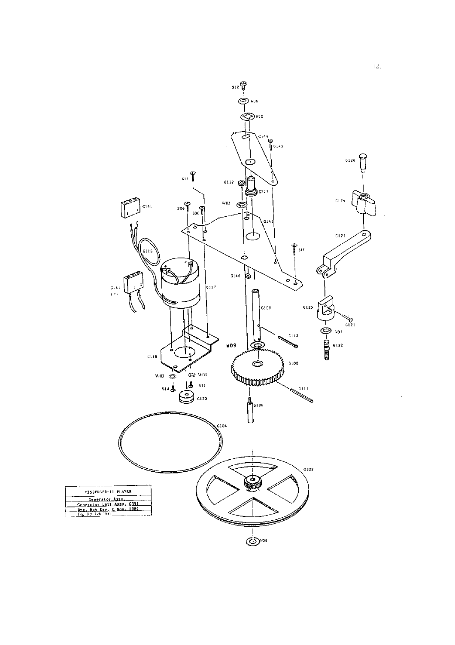

 $\overline{12}$ .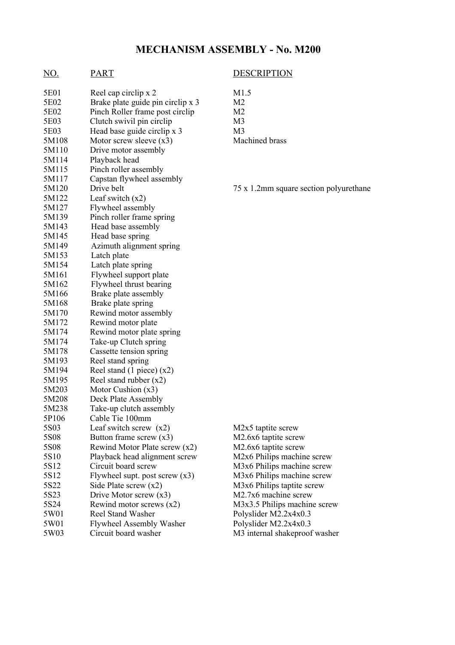# **MECHANISM ASSEMBLY - No. M200**

# NO. PART DESCRIPTION

| 5E01             | Reel cap circlip x 2              | M1.5               |
|------------------|-----------------------------------|--------------------|
| 5E02             | Brake plate guide pin circlip x 3 | M2                 |
| 5E02             | Pinch Roller frame post circlip   | M2                 |
| 5E03             | Clutch swivil pin circlip         | M3                 |
| 5E03             | Head base guide circlip x 3       | M3                 |
| 5M108            | Motor screw sleeve $(x3)$         | Machi              |
| 5M110            | Drive motor assembly              |                    |
| 5M114            | Playback head                     |                    |
| 5M115            | Pinch roller assembly             |                    |
| 5M117            | Capstan flywheel assembly         |                    |
| 5M120            | Drive belt                        | 75 x 1.            |
| 5M122            | Leaf switch $(x2)$                |                    |
| 5M127            | Flywheel assembly                 |                    |
| 5M139            | Pinch roller frame spring         |                    |
| 5M143            | Head base assembly                |                    |
| 5M145            | Head base spring                  |                    |
| 5M149            | Azimuth alignment spring          |                    |
| 5M153            | Latch plate                       |                    |
| 5M154            | Latch plate spring                |                    |
| 5M161            | Flywheel support plate            |                    |
| 5M162            | Flywheel thrust bearing           |                    |
| 5M166            | Brake plate assembly              |                    |
| 5M168            | Brake plate spring                |                    |
| 5M170            | Rewind motor assembly             |                    |
| 5M172            | Rewind motor plate                |                    |
| 5M174            | Rewind motor plate spring         |                    |
| 5M174            | Take-up Clutch spring             |                    |
| 5M178            | Cassette tension spring           |                    |
| 5M193            | Reel stand spring                 |                    |
| 5M194            | Reel stand $(1$ piece) $(x2)$     |                    |
| 5M195            | Reel stand rubber $(x2)$          |                    |
| 5M203            | Motor Cushion $(x3)$              |                    |
| 5M208            | Deck Plate Assembly               |                    |
| 5M238            | Take-up clutch assembly           |                    |
| 5P106            | Cable Tie 100mm                   |                    |
| 5S03             | Leaf switch screw $(x2)$          | M2x5               |
| 5S08             | Button frame screw $(x3)$         | M2.6x              |
| 5S08             | Rewind Motor Plate screw $(x2)$   | M2.6x              |
| 5S <sub>10</sub> | Playback head alignment screw     | M2x6               |
| 5S12             | Circuit board screw               | M3x6               |
| 5S12             | Flywheel supt. post screw $(x3)$  | M3x6               |
| 5S22             | Side Plate screw $(x2)$           | M3x6               |
| 5S23             | Drive Motor screw $(x3)$          | M2.7x              |
| 5S24             | Rewind motor screws $(x2)$        | M3x3.              |
| 5W01             | <b>Reel Stand Washer</b>          | Polysli            |
| 5W01             | <b>Flywheel Assembly Washer</b>   | Polysli            |
| 5W03             | Circuit board washer              | M <sub>3</sub> int |

ned brass

.2mm square section polyurethane

taptite screw  $56$  taptite screw  $56 \text{ taptite screw}$ Philips machine screw Philips machine screw Philips machine screw Philips taptite screw  $56$  machine screw 5 Philips machine screw ider  $M2.2x4x0.3$ ider  $M2.2x4x0.3$ ternal shakeproof washer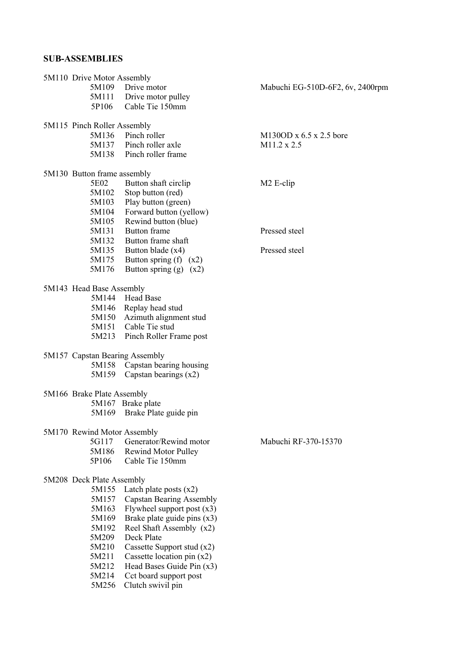# **SUB-ASSEMBLIES**

| 5M110 Drive Motor Assembly     |                                 |                                  |
|--------------------------------|---------------------------------|----------------------------------|
| 5M109                          | Drive motor                     | Mabuchi EG-510D-6F2, 6v, 2400rpm |
|                                | 5M111 Drive motor pulley        |                                  |
| 5P106                          | Cable Tie 150mm                 |                                  |
|                                |                                 |                                  |
| 5M115 Pinch Roller Assembly    |                                 |                                  |
| 5M136                          | Pinch roller                    | M130OD x $6.5$ x 2.5 bore        |
| 5M137                          | Pinch roller axle               | M11.2 x 2.5                      |
| 5M138                          | Pinch roller frame              |                                  |
| 5M130 Button frame assembly    |                                 |                                  |
| 5E02                           | Button shaft circlip            | M <sub>2</sub> E-clip            |
| 5M102                          | Stop button (red)               |                                  |
| 5M103                          | Play button (green)             |                                  |
| 5M104                          | Forward button (yellow)         |                                  |
| 5M105                          | Rewind button (blue)            |                                  |
| 5M131                          | Button frame                    | Pressed steel                    |
|                                | Button frame shaft              |                                  |
| 5M132                          |                                 | Pressed steel                    |
| 5M135                          | Button blade (x4)               |                                  |
| 5M175                          | Button spring $(f)$ $(x2)$      |                                  |
| 5M176                          | Button spring $(g)$ $(x2)$      |                                  |
| 5M143 Head Base Assembly       |                                 |                                  |
|                                | 5M144 Head Base                 |                                  |
|                                | 5M146 Replay head stud          |                                  |
| 5M150                          | Azimuth alignment stud          |                                  |
| 5M151                          | Cable Tie stud                  |                                  |
| 5M213                          | Pinch Roller Frame post         |                                  |
|                                |                                 |                                  |
| 5M157 Capstan Bearing Assembly |                                 |                                  |
| 5M158                          | Capstan bearing housing         |                                  |
| 5M159                          | Capstan bearings $(x2)$         |                                  |
|                                |                                 |                                  |
| 5M166 Brake Plate Assembly     |                                 |                                  |
|                                | 5M167 Brake plate               |                                  |
| 5M169                          | Brake Plate guide pin           |                                  |
| 5M170 Rewind Motor Assembly    |                                 |                                  |
| 5G117                          | Generator/Rewind motor          | Mabuchi RF-370-15370             |
| 5M186                          | <b>Rewind Motor Pulley</b>      |                                  |
| 5P106                          | Cable Tie 150mm                 |                                  |
|                                |                                 |                                  |
| 5M208 Deck Plate Assembly      |                                 |                                  |
| 5M155                          | Latch plate posts $(x2)$        |                                  |
| 5M157                          | <b>Capstan Bearing Assembly</b> |                                  |
| 5M163                          | Flywheel support post $(x3)$    |                                  |
| 5M169                          | Brake plate guide pins $(x3)$   |                                  |
| 5M192                          | Reel Shaft Assembly (x2)        |                                  |
| 5M209                          | Deck Plate                      |                                  |
| 5M210                          | Cassette Support stud $(x2)$    |                                  |
| 5M211                          | Cassette location pin $(x2)$    |                                  |
| 5M212                          | Head Bases Guide Pin (x3)       |                                  |
| 5M214                          | Cct board support post          |                                  |
| 5M256                          | Clutch swivil pin               |                                  |
|                                |                                 |                                  |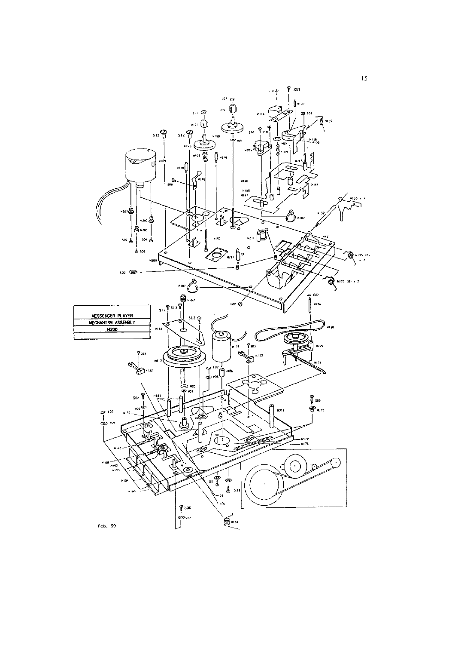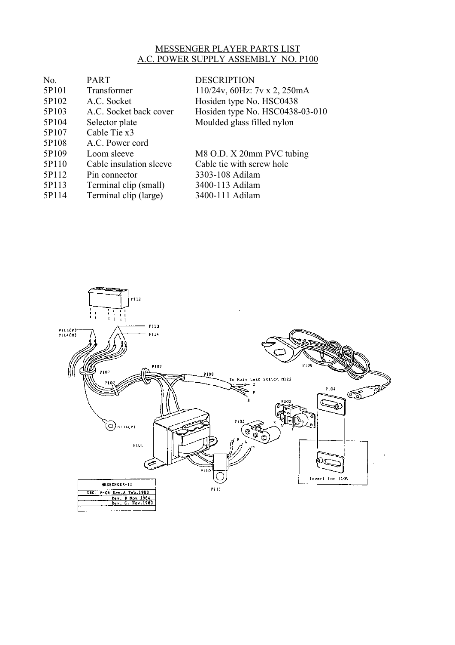# MESSENGER PLAYER PARTS LIST A.C. POWER SUPPLY ASSEMBLY NO. P100

| No.   | <b>PART</b>             | <b>DESCRIPTION</b>                      |
|-------|-------------------------|-----------------------------------------|
| 5P101 | Transformer             | $110/24v$ , 60Hz: $7v \times 2$ , 250mA |
| 5P102 | A.C. Socket             | Hosiden type No. HSC0438                |
| 5P103 | A.C. Socket back cover  | Hosiden type No. HSC0438-03-010         |
| 5P104 | Selector plate          | Moulded glass filled nylon              |
| 5P107 | Cable Tie x3            |                                         |
| 5P108 | A.C. Power cord         |                                         |
| 5P109 | Loom sleeve             | M8 O.D. X 20mm PVC tubing               |
| 5P110 | Cable insulation sleeve | Cable tie with screw hole               |
| 5P112 | Pin connector           | 3303-108 Adilam                         |
| 5P113 | Terminal clip (small)   | 3400-113 Adilam                         |
| 5P114 | Terminal clip (large)   | 3400-111 Adilam                         |
|       |                         |                                         |

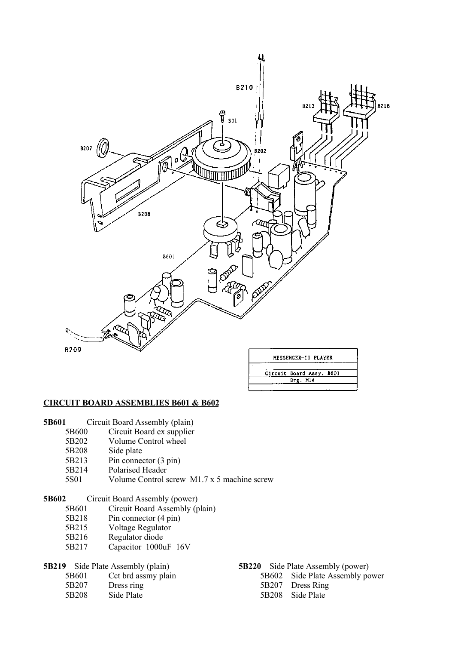

#### **CIRCUIT BOARD ASSEMBLIES B601 & B602**

- **5B601** Circuit Board Assembly (plain)
	- 5B600 Circuit Board ex supplier
	- 5B202 Volume Control wheel<br>5B208 Side plate
	- Side plate
	- 5B213 Pin connector (3 pin)
	- 5B214 Polarised Header
	- 5S01 Volume Control screw M1.7 x 5 machine screw

#### **5B602** Circuit Board Assembly (power)

- 5B601 Circuit Board Assembly (plain)
- 5B218 Pin connector (4 pin)
- 5B215 Voltage Regulator
- 5B216 Regulator diode
- 5B217 Capacitor 1000uF 16V

- 
- 5B207 Dress ring 5B207 Dress Ring
- 5B208 Side Plate 5B208 Side Plate
- **5B219** Side Plate Assembly (plain) **5B220** Side Plate Assembly (power) **5B601** Cct brd assmy plain **5B602** Side Plate Assembly po
	- 5B601 Cct brd assmy plain 5B602 Side Plate Assembly power
		-
		-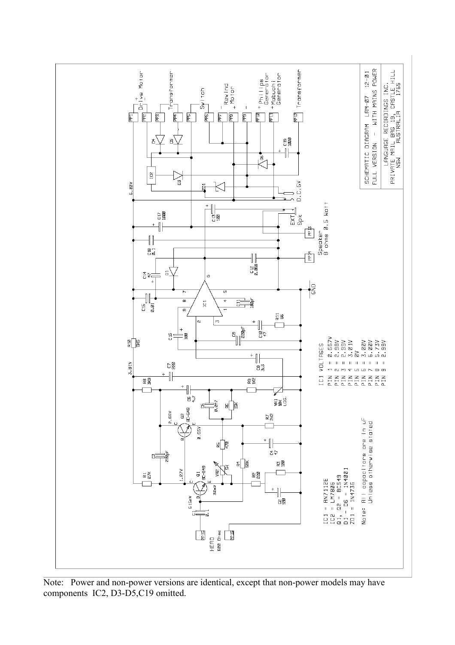

Note: Power and non-power versions are identical, except that non-power models may have components IC2, D3-D5,C19 omitted.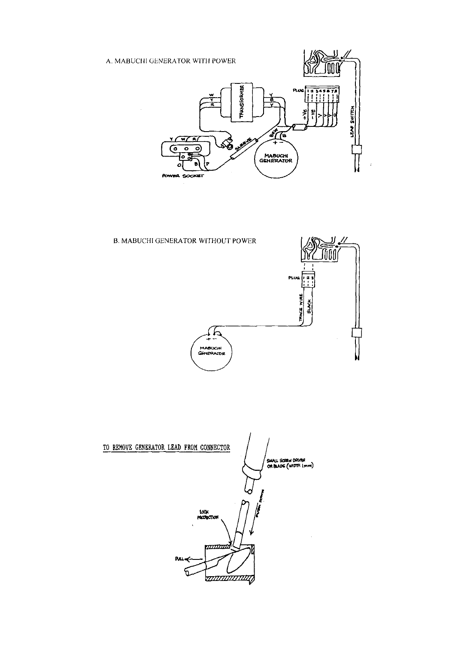